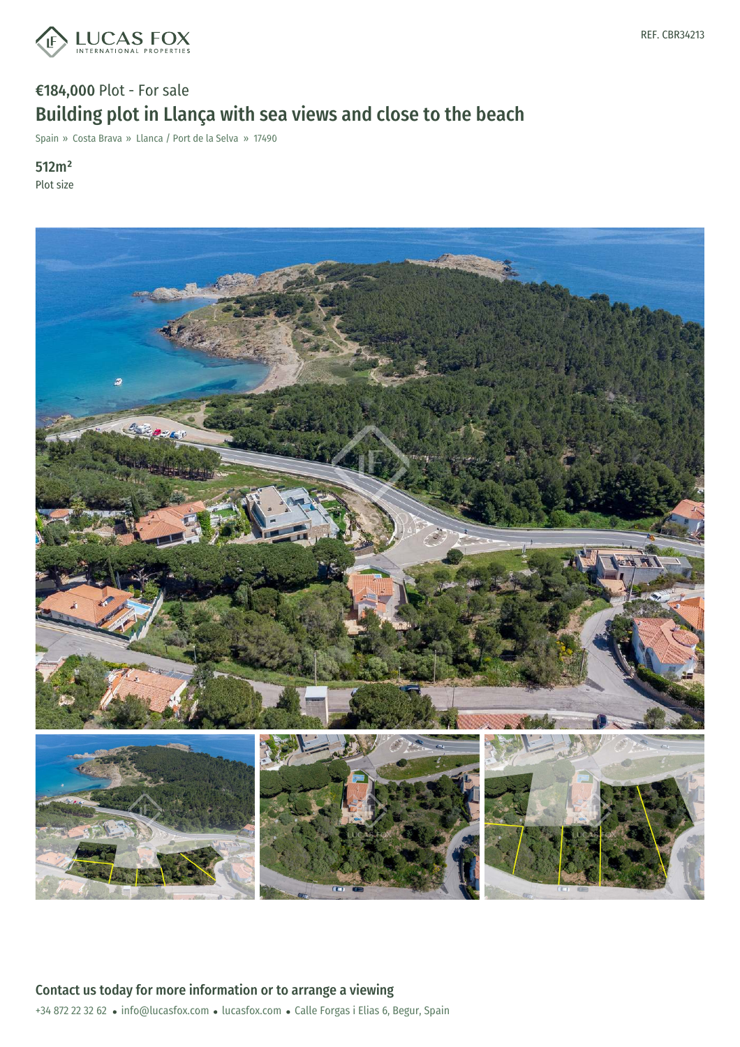

## €184,000 Plot - For sale Building plot in Llança with sea views and close to the beach

Spain » Costa Brava » Llanca / Port de la Selva » 17490

#### 512m² Plot size